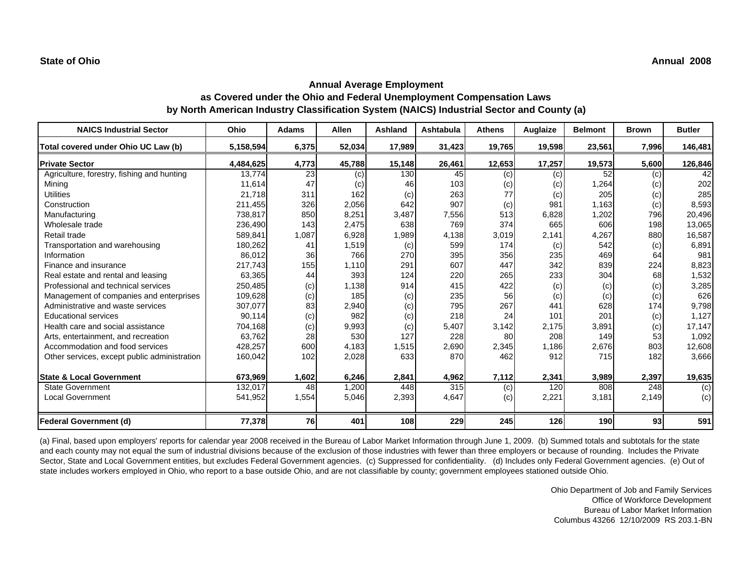| <b>NAICS Industrial Sector</b>               | Ohio      | <b>Adams</b> | <b>Allen</b> | Ashland | Ashtabula | <b>Athens</b> | Auglaize | <b>Belmont</b> | <b>Brown</b> | <b>Butler</b> |
|----------------------------------------------|-----------|--------------|--------------|---------|-----------|---------------|----------|----------------|--------------|---------------|
| Total covered under Ohio UC Law (b)          | 5,158,594 | 6,375        | 52,034       | 17,989  | 31,423    | 19,765        | 19,598   | 23,561         | 7,996        | 146,481       |
| <b>Private Sector</b>                        | 4,484,625 | 4,773        | 45,788       | 15,148  | 26,461    | 12,653        | 17,257   | 19,573         | 5,600        | 126,846       |
| Agriculture, forestry, fishing and hunting   | 13,774    | 23           | (c)          | 130     | 45        | (c)           | (c)      | 52             | (c)          | 42            |
| Mining                                       | 11,614    | 47           | (c)          | 46      | 103       | (c)           | (c)      | 1,264          | (c)          | 202           |
| <b>Utilities</b>                             | 21,718    | 311          | 162          | (c)     | 263       | 77            | (c)      | 205            | (c)          | 285           |
| Construction                                 | 211,455   | 326          | 2,056        | 642     | 907       | (c)           | 981      | 1,163          | (c)          | 8,593         |
| Manufacturing                                | 738,817   | 850          | 8,251        | 3,487   | 7,556     | 513           | 6,828    | 1,202          | 796          | 20,496        |
| Wholesale trade                              | 236,490   | 143          | 2,475        | 638     | 769       | 374           | 665      | 606            | 198          | 13,065        |
| Retail trade                                 | 589,841   | 1,087        | 6,928        | 1,989   | 4,138     | 3,019         | 2,141    | 4,267          | 880          | 16,587        |
| Transportation and warehousing               | 180,262   | 41           | 1,519        | (c)     | 599       | 174           | (c)      | 542            | (c)          | 6,891         |
| Information                                  | 86,012    | 36           | 766          | 270     | 395       | 356           | 235      | 469            | 64           | 981           |
| Finance and insurance                        | 217,743   | 155          | 1,110        | 291     | 607       | 447           | 342      | 839            | 224          | 8,823         |
| Real estate and rental and leasing           | 63,365    | 44           | 393          | 124     | 220       | 265           | 233      | 304            | 68           | 1,532         |
| Professional and technical services          | 250,485   | (c)          | 1,138        | 914     | 415       | 422           | (c)      | (c)            | (c)          | 3,285         |
| Management of companies and enterprises      | 109,628   | (c)          | 185          | (c)     | 235       | 56            | (c)      | (c)            | (c)          | 626           |
| Administrative and waste services            | 307,077   | 83           | 2,940        | (c)     | 795       | 267           | 441      | 628            | 174          | 9,798         |
| <b>Educational services</b>                  | 90,114    | (c)          | 982          | (c)     | 218       | 24            | 101      | 201            | (c)          | 1,127         |
| Health care and social assistance            | 704,168   | (c)          | 9,993        | (c)     | 5,407     | 3,142         | 2,175    | 3,891          | (c)          | 17,147        |
| Arts, entertainment, and recreation          | 63,762    | 28           | 530          | 127     | 228       | 80            | 208      | 149            | 53           | 1,092         |
| Accommodation and food services              | 428,257   | 600          | 4,183        | 1,515   | 2,690     | 2,345         | 1,186    | 2,676          | 803          | 12,608        |
| Other services, except public administration | 160,042   | 102          | 2,028        | 633     | 870       | 462           | 912      | 715            | 182          | 3,666         |
| <b>State &amp; Local Government</b>          | 673,969   | 1,602        | 6,246        | 2,841   | 4,962     | 7,112         | 2,341    | 3,989          | 2,397        | 19,635        |
| <b>State Government</b>                      | 132,017   | 48           | 1,200        | 448     | 315       | (c)           | 120      | 808            | 248          | (c)           |
| Local Government                             | 541,952   | 1,554        | 5,046        | 2,393   | 4,647     | (c)           | 2,221    | 3,181          | 2,149        | (c)           |
| Federal Government (d)                       | 77,378    | 76           | 401          | 108     | 229       | 245           | 126      | 190            | 93           | 591           |

(a) Final, based upon employers' reports for calendar year 2008 received in the Bureau of Labor Market Information through June 1, 2009. (b) Summed totals and subtotals for the state and each county may not equal the sum of industrial divisions because of the exclusion of those industries with fewer than three employers or because of rounding. Includes the Private Sector, State and Local Government entities, but excludes Federal Government agencies. (c) Suppressed for confidentiality. (d) Includes only Federal Government agencies. (e) Out of state includes workers employed in Ohio, who report to a base outside Ohio, and are not classifiable by county; government employees stationed outside Ohio.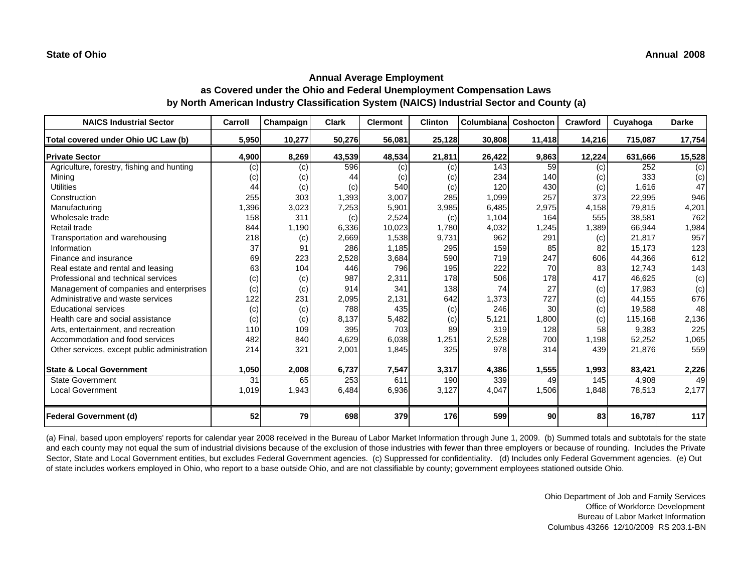| <b>NAICS Industrial Sector</b>               | Carroll | Champaign | <b>Clark</b> | <b>Clermont</b> | <b>Clinton</b> | Columbiana | Coshocton | Crawford | Cuyahoga | <b>Darke</b> |
|----------------------------------------------|---------|-----------|--------------|-----------------|----------------|------------|-----------|----------|----------|--------------|
| Total covered under Ohio UC Law (b)          | 5,950   | 10,277    | 50,276       | 56,081          | 25,128         | 30,808     | 11,418    | 14,216   | 715,087  | 17,754       |
| <b>Private Sector</b>                        | 4,900   | 8,269     | 43,539       | 48,534          | 21,811         | 26,422     | 9,863     | 12,224   | 631,666  | 15,528       |
| Agriculture, forestry, fishing and hunting   | (c)     | (c)       | 596          | (c)             | (c)            | 143        | 59        | (c)      | 252      | (c)          |
| Mining                                       | (c)     | (c)       | 44           | (c)             | (c)            | 234        | 140       | (c)      | 333      | (c)          |
| <b>Utilities</b>                             | 44      | (c)       | (c)          | 540             | (c)            | 120        | 430       | (c)      | 1,616    | 47           |
| Construction                                 | 255     | 303       | 1,393        | 3,007           | 285            | 1,099      | 257       | 373      | 22,995   | 946          |
| Manufacturing                                | 1,396   | 3,023     | 7,253        | 5,901           | 3,985          | 6,485      | 2,975     | 4,158    | 79,815   | 4,201        |
| Wholesale trade                              | 158     | 311       | (c)          | 2,524           | (c)            | 1,104      | 164       | 555      | 38,581   | 762          |
| Retail trade                                 | 844     | 1,190     | 6,336        | 10,023          | 1,780          | 4,032      | 1,245     | 1,389    | 66,944   | 1,984        |
| Transportation and warehousing               | 218     | (c)       | 2,669        | 1,538           | 9,731          | 962        | 291       | (c)      | 21,817   | 957          |
| Information                                  | 37      | 91        | 286          | 1,185           | 295            | 159        | 85        | 82       | 15,173   | 123          |
| Finance and insurance                        | 69      | 223       | 2,528        | 3,684           | 590            | 719        | 247       | 606      | 44,366   | 612          |
| Real estate and rental and leasing           | 63      | 104       | 446          | 796             | 195            | 222        | 70        | 83       | 12,743   | 143          |
| Professional and technical services          | (c)     | (c)       | 987          | 2,311           | 178            | 506        | 178       | 417      | 46,625   | (c)          |
| Management of companies and enterprises      | (c)     | (c)       | 914          | 341             | 138            | 74         | 27        | (c)      | 17,983   | (c)          |
| Administrative and waste services            | 122     | 231       | 2,095        | 2,131           | 642            | 1,373      | 727       | (c)      | 44,155   | 676          |
| <b>Educational services</b>                  | (c)     | (c)       | 788          | 435             | (c)            | 246        | 30        | (c)      | 19,588   | 48           |
| Health care and social assistance            | (c)     | (c)       | 8,137        | 5,482           | (c)            | 5,121      | 1,800     | (c)      | 115,168  | 2,136        |
| Arts, entertainment, and recreation          | 110     | 109       | 395          | 703             | 89             | 319        | 128       | 58       | 9,383    | 225          |
| Accommodation and food services              | 482     | 840       | 4,629        | 6,038           | 1,251          | 2,528      | 700       | 1,198    | 52,252   | 1,065        |
| Other services, except public administration | 214     | 321       | 2,001        | 1,845           | 325            | 978        | 314       | 439      | 21,876   | 559          |
| <b>State &amp; Local Government</b>          | 1,050   | 2,008     | 6,737        | 7,547           | 3,317          | 4,386      | 1,555     | 1,993    | 83,421   | 2,226        |
| <b>State Government</b>                      | 31      | 65        | 253          | 611             | 190            | 339        | 49        | 145      | 4,908    | 49           |
| <b>Local Government</b>                      | 1,019   | 1,943     | 6,484        | 6,936           | 3,127          | 4,047      | 1,506     | 1,848    | 78,513   | 2,177        |
| <b>Federal Government (d)</b>                | 52      | 79        | 698          | 379             | 176            | 599        | 90        | 83       | 16,787   | 117          |

(a) Final, based upon employers' reports for calendar year 2008 received in the Bureau of Labor Market Information through June 1, 2009. (b) Summed totals and subtotals for the state and each county may not equal the sum of industrial divisions because of the exclusion of those industries with fewer than three employers or because of rounding. Includes the Private Sector, State and Local Government entities, but excludes Federal Government agencies. (c) Suppressed for confidentiality. (d) Includes only Federal Government agencies. (e) Out of state includes workers employed in Ohio, who report to a base outside Ohio, and are not classifiable by county; government employees stationed outside Ohio.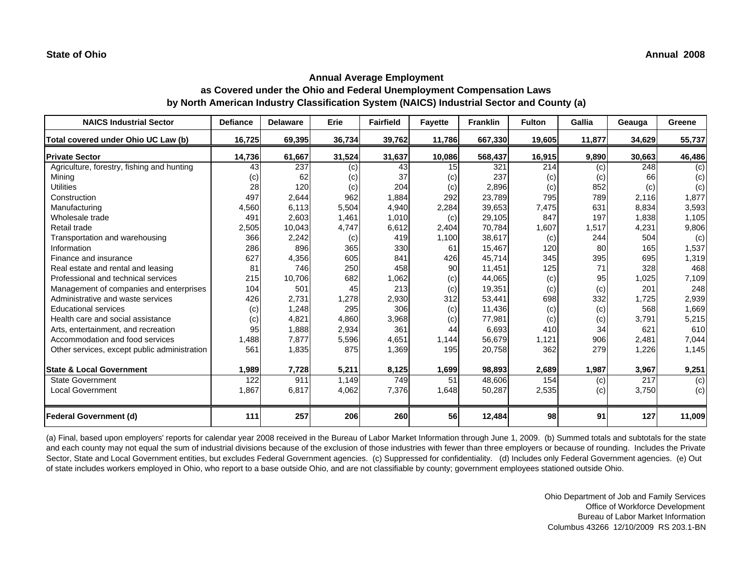| <b>NAICS Industrial Sector</b>               | <b>Defiance</b> | <b>Delaware</b> | Erie   | <b>Fairfield</b> | <b>Fayette</b> | <b>Franklin</b> | <b>Fulton</b> | Gallia | Geauga | Greene |
|----------------------------------------------|-----------------|-----------------|--------|------------------|----------------|-----------------|---------------|--------|--------|--------|
| Total covered under Ohio UC Law (b)          | 16,725          | 69,395          | 36,734 | 39,762           | 11,786         | 667,330         | 19,605        | 11,877 | 34,629 | 55,737 |
| <b>Private Sector</b>                        | 14,736          | 61,667          | 31,524 | 31,637           | 10,086         | 568,437         | 16,915        | 9,890  | 30,663 | 46,486 |
| Agriculture, forestry, fishing and hunting   | 43              | 237             | (c)    | 43               | 15             | 321             | 214           | (c)    | 248    | (c)    |
| Minina                                       | (c)             | 62              | (c)    | 37               | (c)            | 237             | (c)           | (c)    | 66     | (c)    |
| <b>Utilities</b>                             | 28              | 120             | (c)    | 204              | (c)            | 2,896           | (c)           | 852    | (c)    | (c)    |
| Construction                                 | 497             | 2,644           | 962    | 1,884            | 292            | 23,789          | 795           | 789    | 2,116  | 1,877  |
| Manufacturing                                | 4,560           | 6,113           | 5,504  | 4,940            | 2,284          | 39,653          | 7,475         | 631    | 8,834  | 3,593  |
| Wholesale trade                              | 491             | 2,603           | 1,461  | 1,010            | (c)            | 29,105          | 847           | 197    | 1,838  | 1,105  |
| Retail trade                                 | 2,505           | 10,043          | 4,747  | 6,612            | 2,404          | 70,784          | 1,607         | 1,517  | 4,231  | 9,806  |
| Transportation and warehousing               | 366             | 2,242           | (c)    | 419              | 1,100          | 38,617          | (c)           | 244    | 504    | (c)    |
| Information                                  | 286             | 896             | 365    | 330              | 61             | 15,467          | 120           | 80     | 165    | 1,537  |
| Finance and insurance                        | 627             | 4,356           | 605    | 841              | 426            | 45,714          | 345           | 395    | 695    | 1,319  |
| Real estate and rental and leasing           | 81              | 746             | 250    | 458              | 90             | 11,451          | 125           | 71     | 328    | 468    |
| Professional and technical services          | 215             | 10,706          | 682    | 1,062            | (c)            | 44,065          | (c)           | 95     | 1,025  | 7,109  |
| Management of companies and enterprises      | 104             | 501             | 45     | 213              | (c)            | 19,351          | (c)           | (c)    | 201    | 248    |
| Administrative and waste services            | 426             | 2,731           | 1,278  | 2,930            | 312            | 53,441          | 698           | 332    | 1,725  | 2,939  |
| <b>Educational services</b>                  | (c)             | 1,248           | 295    | 306              | (c)            | 11,436          | (c)           | (c)    | 568    | 1,669  |
| Health care and social assistance            | (c)             | 4,821           | 4,860  | 3,968            | (c)            | 77,981          | (c)           | (c)    | 3,791  | 5,215  |
| Arts, entertainment, and recreation          | 95              | 1,888           | 2,934  | 361              | 44             | 6,693           | 410           | 34     | 621    | 610    |
| Accommodation and food services              | 1,488           | 7,877           | 5,596  | 4,651            | 1,144          | 56,679          | 1,121         | 906    | 2,481  | 7,044  |
| Other services, except public administration | 561             | 1,835           | 875    | 1,369            | 195            | 20,758          | 362           | 279    | 1,226  | 1,145  |
| <b>State &amp; Local Government</b>          | 1,989           | 7,728           | 5,211  | 8,125            | 1,699          | 98,893          | 2,689         | 1,987  | 3,967  | 9,251  |
| <b>State Government</b>                      | 122             | 911             | 1,149  | 749              | 51             | 48,606          | 154           | (c)    | 217    | (c)    |
| <b>Local Government</b>                      | 1,867           | 6,817           | 4,062  | 7,376            | 1,648          | 50,287          | 2,535         | (c)    | 3,750  | (c)    |
| <b>Federal Government (d)</b>                | 111             | 257             | 206    | 260              | 56             | 12,484          | 98            | 91     | 127    | 11,009 |

(a) Final, based upon employers' reports for calendar year 2008 received in the Bureau of Labor Market Information through June 1, 2009. (b) Summed totals and subtotals for the state and each county may not equal the sum of industrial divisions because of the exclusion of those industries with fewer than three employers or because of rounding. Includes the Private Sector, State and Local Government entities, but excludes Federal Government agencies. (c) Suppressed for confidentiality. (d) Includes only Federal Government agencies. (e) Out of state includes workers employed in Ohio, who report to a base outside Ohio, and are not classifiable by county; government employees stationed outside Ohio.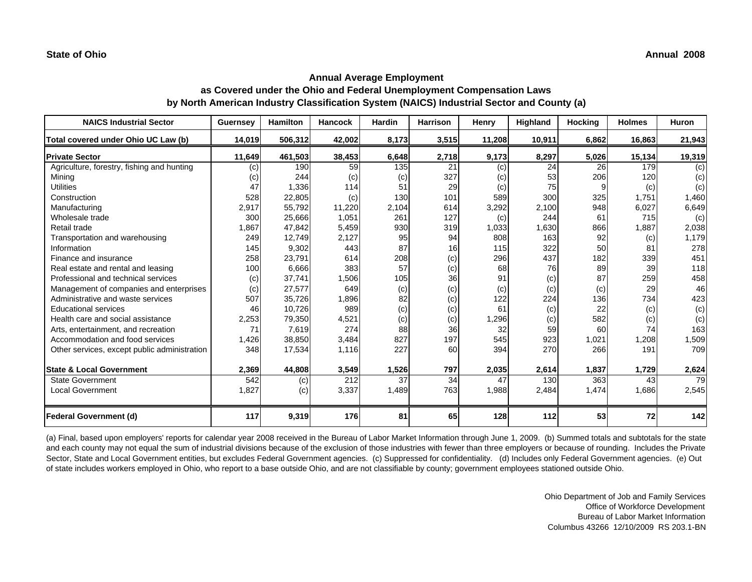| <b>NAICS Industrial Sector</b>               | <b>Guernsey</b> | <b>Hamilton</b> | <b>Hancock</b> | Hardin | <b>Harrison</b> | Henry  | Highland | <b>Hocking</b> | <b>Holmes</b> | <b>Huron</b> |
|----------------------------------------------|-----------------|-----------------|----------------|--------|-----------------|--------|----------|----------------|---------------|--------------|
| Total covered under Ohio UC Law (b)          | 14,019          | 506,312         | 42,002         | 8,173  | 3,515           | 11,208 | 10,911   | 6,862          | 16,863        | 21,943       |
| <b>Private Sector</b>                        | 11,649          | 461,503         | 38,453         | 6,648  | 2,718           | 9,173  | 8,297    | 5,026          | 15,134        | 19,319       |
| Agriculture, forestry, fishing and hunting   | (c)             | 190             | 59             | 135    | 21              | (c)    | 24       | 26             | 179           | (c)          |
| Minina                                       | (c)             | 244             | (c)            | (c)    | 327             | (C)    | 53       | 206            | 120           | (c)          |
| <b>Utilities</b>                             | 47              | 1,336           | 114            | 51     | 29              | (c)    | 75       | 9              | (c)           | (c)          |
| Construction                                 | 528             | 22,805          | (c)            | 130    | 101             | 589    | 300      | 325            | 1,751         | 1,460        |
| Manufacturing                                | 2,917           | 55,792          | 11,220         | 2,104  | 614             | 3,292  | 2,100    | 948            | 6,027         | 6,649        |
| Wholesale trade                              | 300             | 25,666          | 1,051          | 261    | 127             | (c)    | 244      | 61             | 715           | (c)          |
| Retail trade                                 | 1,867           | 47,842          | 5,459          | 930    | 319             | 1,033  | 1,630    | 866            | 1,887         | 2,038        |
| Transportation and warehousing               | 249             | 12,749          | 2,127          | 95     | 94              | 808    | 163      | 92             | (c)           | 1,179        |
| Information                                  | 145             | 9,302           | 443            | 87     | 16              | 115    | 322      | 50             | 81            | 278          |
| Finance and insurance                        | 258             | 23,791          | 614            | 208    | (c)             | 296    | 437      | 182            | 339           | 451          |
| Real estate and rental and leasing           | 100             | 6,666           | 383            | 57     | (c)             | 68     | 76       | 89             | 39            | 118          |
| Professional and technical services          | (c)             | 37,741          | 1,506          | 105    | 36              | 91     | (c)      | 87             | 259           | 458          |
| Management of companies and enterprises      | (c)             | 27,577          | 649            | (c)    | (c)             | (c)    | (c)      | (c)            | 29            | 46           |
| Administrative and waste services            | 507             | 35,726          | 1,896          | 82     | (c)             | 122    | 224      | 136            | 734           | 423          |
| <b>Educational services</b>                  | 46              | 10,726          | 989            | (c)    | (c)             | 61     | (c)      | 22             | (c)           | (c)          |
| Health care and social assistance            | 2,253           | 79,350          | 4,521          | (c)    | (c)             | 1,296  | (c)      | 582            | (c)           | (c)          |
| Arts, entertainment, and recreation          | 71              | 7,619           | 274            | 88     | 36              | 32     | 59       | 60             | 74            | 163          |
| Accommodation and food services              | 1,426           | 38,850          | 3,484          | 827    | 197             | 545    | 923      | 1,021          | 1,208         | 1,509        |
| Other services, except public administration | 348             | 17,534          | 1,116          | 227    | 60              | 394    | 270      | 266            | 191           | 709          |
| <b>State &amp; Local Government</b>          | 2,369           | 44,808          | 3,549          | 1,526  | 797             | 2,035  | 2,614    | 1,837          | 1,729         | 2,624        |
| <b>State Government</b>                      | 542             | (c)             | 212            | 37     | 34              | 47     | 130      | 363            | 43            | 79           |
| <b>Local Government</b>                      | 1,827           | (c)             | 3,337          | 1,489  | 763             | 1,988  | 2,484    | 1,474          | 1,686         | 2,545        |
| <b>Federal Government (d)</b>                | 117             | 9,319           | 176            | 81     | 65              | 128    | 112      | 53             | 72            | 142          |

(a) Final, based upon employers' reports for calendar year 2008 received in the Bureau of Labor Market Information through June 1, 2009. (b) Summed totals and subtotals for the state and each county may not equal the sum of industrial divisions because of the exclusion of those industries with fewer than three employers or because of rounding. Includes the Private Sector, State and Local Government entities, but excludes Federal Government agencies. (c) Suppressed for confidentiality. (d) Includes only Federal Government agencies. (e) Out of state includes workers employed in Ohio, who report to a base outside Ohio, and are not classifiable by county; government employees stationed outside Ohio.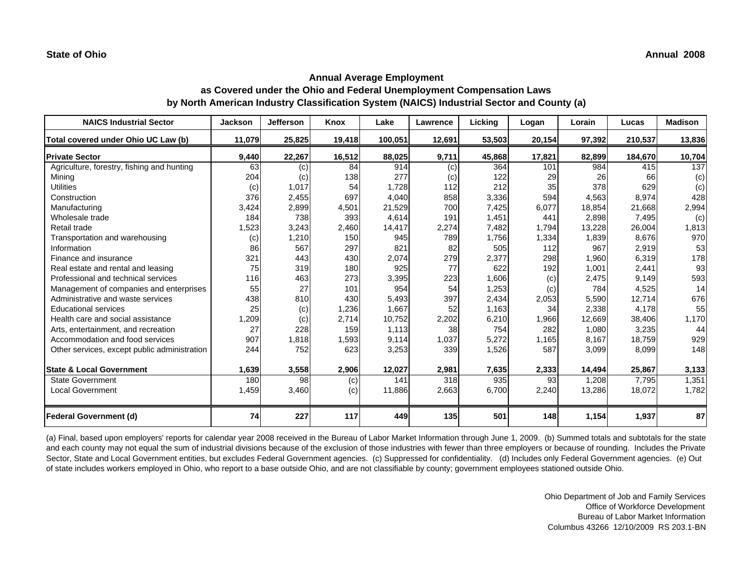| <b>NAICS Industrial Sector</b>               | <b>Jackson</b> | <b>Jefferson</b> | Knox   | Lake    | <b>Lawrence</b> | Licking | Logan  | Lorain | Lucas   | <b>Madison</b> |
|----------------------------------------------|----------------|------------------|--------|---------|-----------------|---------|--------|--------|---------|----------------|
| Total covered under Ohio UC Law (b)          | 11,079         | 25,825           | 19,418 | 100,051 | 12,691          | 53,503  | 20,154 | 97,392 | 210,537 | 13,836         |
| <b>Private Sector</b>                        | 9,440          | 22,267           | 16,512 | 88,025  | 9,711           | 45,868  | 17,821 | 82,899 | 184,670 | 10,704         |
| Agriculture, forestry, fishing and hunting   | 63             | (c)              | 84     | 914     | (c)             | 364     | 101    | 984    | 415     | 137            |
| Mining                                       | 204            | (c)              | 138    | 277     | (c)             | 122     | 29     | 26     | 66      | (c)            |
| <b>Utilities</b>                             | (c)            | 1,017            | 54     | 1,728   | 112             | 212     | 35     | 378    | 629     | (c)            |
| Construction                                 | 376            | 2,455            | 697    | 4,040   | 858             | 3,336   | 594    | 4,563  | 8,974   | 428            |
| Manufacturing                                | 3,424          | 2,899            | 4,501  | 21,529  | 700             | 7,425   | 6,077  | 18,854 | 21,668  | 2,994          |
| Wholesale trade                              | 184            | 738              | 393    | 4,614   | 191             | 1,451   | 441    | 2,898  | 7,495   | (c)            |
| Retail trade                                 | 1,523          | 3,243            | 2,460  | 14,417  | 2,274           | 7,482   | 1,794  | 13,228 | 26,004  | 1,813          |
| Transportation and warehousing               | (c)            | 1,210            | 150    | 945     | 789             | 1,756   | 1,334  | 1,839  | 8,676   | 970            |
| Information                                  | 86             | 567              | 297    | 821     | 82              | 505     | 112    | 967    | 2,919   | 53             |
| Finance and insurance                        | 321            | 443              | 430    | 2,074   | 279             | 2,377   | 298    | 1,960  | 6,319   | 178            |
| Real estate and rental and leasing           | 75             | 319              | 180    | 925     | 77              | 622     | 192    | 1,001  | 2,441   | 93             |
| Professional and technical services          | 116            | 463              | 273    | 3,395   | 223             | 1,606   | (c)    | 2,475  | 9,149   | 593            |
| Management of companies and enterprises      | 55             | 27               | 101    | 954     | 54              | 1,253   | (c)    | 784    | 4,525   | 14             |
| Administrative and waste services            | 438            | 810              | 430    | 5,493   | 397             | 2,434   | 2,053  | 5,590  | 12.714  | 676            |
| <b>Educational services</b>                  | 25             | (c)              | 1,236  | 1,667   | 52              | 1,163   | 34     | 2,338  | 4,178   | 55             |
| Health care and social assistance            | 1,209          | (c)              | 2,714  | 10,752  | 2,202           | 6,210   | 1,966  | 12,669 | 38,406  | 1,170          |
| Arts, entertainment, and recreation          | 27             | 228              | 159    | 1,113   | 38              | 754     | 282    | 1,080  | 3,235   | 44             |
| Accommodation and food services              | 907            | 1,818            | 1,593  | 9,114   | 1,037           | 5,272   | 1,165  | 8,167  | 18,759  | 929            |
| Other services, except public administration | 244            | 752              | 623    | 3,253   | 339             | 1,526   | 587    | 3,099  | 8,099   | 148            |
| <b>State &amp; Local Government</b>          | 1,639          | 3,558            | 2,906  | 12,027  | 2,981           | 7,635   | 2,333  | 14,494 | 25,867  | 3,133          |
| <b>State Government</b>                      | 180            | 98               | (c)    | 141     | 318             | 935     | 93     | 1,208  | 7,795   | 1,351          |
| <b>Local Government</b>                      | 1,459          | 3,460            | (c)    | 11,886  | 2,663           | 6,700   | 2,240  | 13,286 | 18,072  | 1,782          |
| <b>Federal Government (d)</b>                | 74             | 227              | 117    | 449     | 135             | 501     | 148    | 1,154  | 1,937   | 87             |

(a) Final, based upon employers' reports for calendar year 2008 received in the Bureau of Labor Market Information through June 1, 2009. (b) Summed totals and subtotals for the state and each county may not equal the sum of industrial divisions because of the exclusion of those industries with fewer than three employers or because of rounding. Includes the Private Sector, State and Local Government entities, but excludes Federal Government agencies. (c) Suppressed for confidentiality. (d) Includes only Federal Government agencies. (e) Out of state includes workers employed in Ohio, who report to a base outside Ohio, and are not classifiable by county; government employees stationed outside Ohio.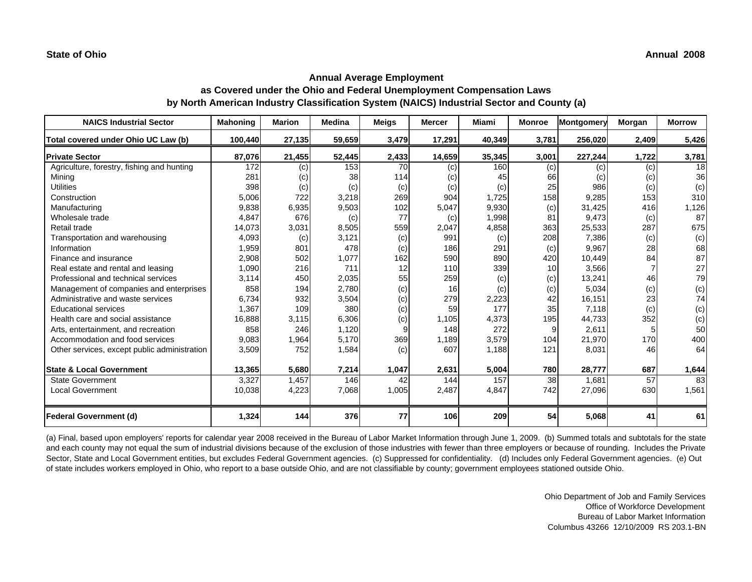| <b>NAICS Industrial Sector</b>               | <b>Mahoning</b> | <b>Marion</b> | <b>Medina</b> | <b>Meigs</b> | <b>Mercer</b> | <b>Miami</b> | <b>Monroe</b> | Montgomery | Morgan | <b>Morrow</b> |
|----------------------------------------------|-----------------|---------------|---------------|--------------|---------------|--------------|---------------|------------|--------|---------------|
| Total covered under Ohio UC Law (b)          | 100,440         | 27,135        | 59,659        | 3,479        | 17,291        | 40,349       | 3,781         | 256,020    | 2,409  | 5,426         |
| <b>Private Sector</b>                        | 87,076          | 21,455        | 52,445        | 2,433        | 14,659        | 35,345       | 3,001         | 227,244    | 1,722  | 3,781         |
| Agriculture, forestry, fishing and hunting   | 172             | (c)           | 153           | 70           | (c)           | 160          | (c)           | (c)        | (c)    | 18            |
| Mining                                       | 281             | (c)           | 38            | 114          | (c)           | 45           | 66            | (c)        | (c)    | 36            |
| <b>Utilities</b>                             | 398             | (c)           | (c)           | (c)          | (c)           | (c)          | 25            | 986        | (c)    | (c)           |
| Construction                                 | 5,006           | 722           | 3,218         | 269          | 904           | 1,725        | 158           | 9,285      | 153    | 310           |
| Manufacturing                                | 9,838           | 6,935         | 9,503         | 102          | 5,047         | 9,930        | (c)           | 31,425     | 416    | 1,126         |
| Wholesale trade                              | 4,847           | 676           | (c)           | 77           | (c)           | 1,998        | 81            | 9,473      | (c)    | 87            |
| Retail trade                                 | 14,073          | 3,031         | 8,505         | 559          | 2,047         | 4,858        | 363           | 25,533     | 287    | 675           |
| Transportation and warehousing               | 4,093           | (c)           | 3,121         | (c)          | 991           | (c)          | 208           | 7,386      | (c)    | (c)           |
| Information                                  | 1,959           | 801           | 478           | (c)          | 186           | 291          | (c)           | 9.967      | 28     | 68            |
| Finance and insurance                        | 2,908           | 502           | 1,077         | 162          | 590           | 890          | 420           | 10,449     | 84     | 87            |
| Real estate and rental and leasing           | 1,090           | 216           | 711           | 12           | 110           | 339          | 10            | 3,566      |        | 27            |
| Professional and technical services          | 3,114           | 450           | 2,035         | 55           | 259           | (c)          | (c)           | 13,241     | 46     | 79            |
| Management of companies and enterprises      | 858             | 194           | 2,780         | (c)          | 16            | (c)          | (c)           | 5,034      | (c)    | (c)           |
| Administrative and waste services            | 6,734           | 932           | 3,504         | (c)          | 279           | 2,223        | 42            | 16,151     | 23     | 74            |
| <b>Educational services</b>                  | 1,367           | 109           | 380           | (c)          | 59            | 177          | 35            | 7,118      | (c)    | (c)           |
| Health care and social assistance            | 16,888          | 3,115         | 6,306         | (c)          | 1,105         | 4,373        | 195           | 44,733     | 352    | (c)           |
| Arts, entertainment, and recreation          | 858             | 246           | 1,120         | 9            | 148           | 272          |               | 2,611      |        | 50            |
| Accommodation and food services              | 9,083           | 1,964         | 5.170         | 369          | 1,189         | 3,579        | 104           | 21,970     | 170    | 400           |
| Other services, except public administration | 3,509           | 752           | 1,584         | (c)          | 607           | 1,188        | 121           | 8,031      | 46     | 64            |
| <b>State &amp; Local Government</b>          | 13,365          | 5,680         | 7,214         | 1,047        | 2,631         | 5,004        | 780           | 28,777     | 687    | 1,644         |
| <b>State Government</b>                      | 3,327           | 1,457         | 146           | 42           | 144           | 157          | 38            | 1.681      | 57     | 83            |
| <b>Local Government</b>                      | 10,038          | 4,223         | 7,068         | 1,005        | 2,487         | 4,847        | 742           | 27,096     | 630    | 1,561         |
| <b>Federal Government (d)</b>                | 1,324           | 144           | 376           | 77           | <b>106</b>    | 209          | 54            | 5,068      | 41     | 61            |

(a) Final, based upon employers' reports for calendar year 2008 received in the Bureau of Labor Market Information through June 1, 2009. (b) Summed totals and subtotals for the state and each county may not equal the sum of industrial divisions because of the exclusion of those industries with fewer than three employers or because of rounding. Includes the Private Sector, State and Local Government entities, but excludes Federal Government agencies. (c) Suppressed for confidentiality. (d) Includes only Federal Government agencies. (e) Out of state includes workers employed in Ohio, who report to a base outside Ohio, and are not classifiable by county; government employees stationed outside Ohio.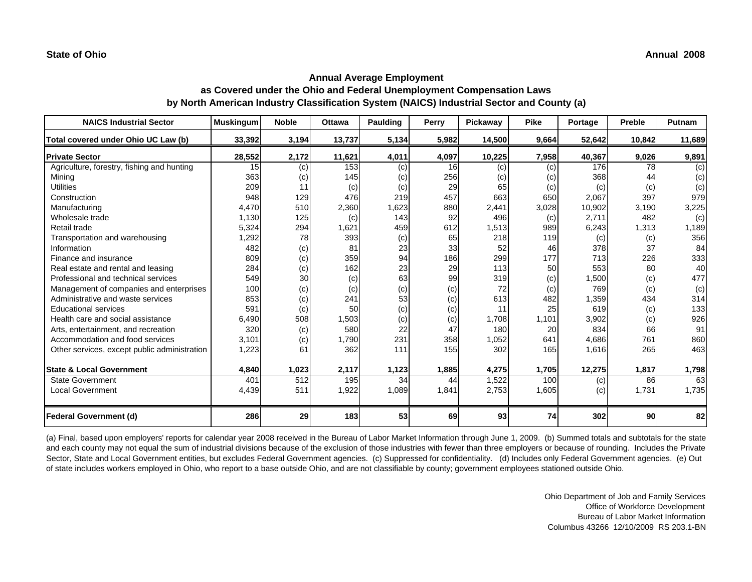| <b>NAICS Industrial Sector</b>               | <b>Muskingum</b> | <b>Noble</b> | <b>Ottawa</b> | Paulding | Perry | Pickaway | <b>Pike</b> | Portage | <b>Preble</b> | Putnam |
|----------------------------------------------|------------------|--------------|---------------|----------|-------|----------|-------------|---------|---------------|--------|
| Total covered under Ohio UC Law (b)          | 33,392           | 3,194        | 13,737        | 5,134    | 5,982 | 14,500   | 9,664       | 52,642  | 10,842        | 11,689 |
| <b>Private Sector</b>                        | 28,552           | 2,172        | 11,621        | 4,011    | 4,097 | 10,225   | 7,958       | 40,367  | 9,026         | 9,891  |
| Agriculture, forestry, fishing and hunting   | 15               | (c)          | 153           | (c)      | 16    | (c)      | (c)         | 176     | 78            | (c)    |
| Minina                                       | 363              | (c)          | 145           | (c)      | 256   | (c)      | (c)         | 368     | 44            | (c)    |
| <b>Utilities</b>                             | 209              | 11           | (c)           | (c)      | 29    | 65       | (c)         | (c)     | (c)           | (c)    |
| Construction                                 | 948              | 129          | 476           | 219      | 457   | 663      | 650         | 2,067   | 397           | 979    |
| Manufacturing                                | 4,470            | 510          | 2,360         | 1,623    | 880   | 2,441    | 3,028       | 10,902  | 3,190         | 3,225  |
| Wholesale trade                              | 1,130            | 125          | (c)           | 143      | 92    | 496      | (c)         | 2,711   | 482           | (c)    |
| Retail trade                                 | 5,324            | 294          | 1,621         | 459      | 612   | 1,513    | 989         | 6,243   | 1,313         | 1,189  |
| Transportation and warehousing               | 1,292            | 78           | 393           | (c)      | 65    | 218      | 119         | (c)     | (c)           | 356    |
| Information                                  | 482              | (c)          | 81            | 23       | 33    | 52       | 46          | 378     | 37            | 84     |
| Finance and insurance                        | 809              | (c)          | 359           | 94       | 186   | 299      | 177         | 713     | 226           | 333    |
| Real estate and rental and leasing           | 284              | (c)          | 162           | 23       | 29    | 113      | 50          | 553     | 80            | 40     |
| Professional and technical services          | 549              | 30           | (c)           | 63       | 99    | 319      | (c)         | 1,500   | (c)           | 477    |
| Management of companies and enterprises      | 100              | (c)          | (c)           | (c)      | (c)   | 72       | (c)         | 769     | (c)           | (c)    |
| Administrative and waste services            | 853              | (c)          | 241           | 53       | (c)   | 613      | 482         | 1,359   | 434           | 314    |
| <b>Educational services</b>                  | 591              | (c)          | 50            | (c)      | (c)   | 11       | 25          | 619     | (c)           | 133    |
| Health care and social assistance            | 6,490            | 508          | 1,503         | (c)      | (c)   | 1,708    | 1,101       | 3,902   | (c)           | 926    |
| Arts, entertainment, and recreation          | 320              | (c)          | 580           | 22       | 47    | 180      | 20          | 834     | 66            | 91     |
| Accommodation and food services              | 3,101            | (c)          | 1,790         | 231      | 358   | 1,052    | 641         | 4,686   | 761           | 860    |
| Other services, except public administration | 1,223            | 61           | 362           | 111      | 155   | 302      | 165         | 1,616   | 265           | 463    |
| <b>State &amp; Local Government</b>          | 4,840            | 1,023        | 2,117         | 1,123    | 1,885 | 4,275    | 1,705       | 12,275  | 1,817         | 1,798  |
| State Government                             | 401              | 512          | 195           | 34       | 44    | 1,522    | 100         | (c)     | 86            | 63     |
| <b>Local Government</b>                      | 4,439            | 511          | 1,922         | 1,089    | 1,841 | 2,753    | 1,605       | (c)     | 1,731         | 1,735  |
| <b>Federal Government (d)</b>                | 286              | 29           | 183           | 53       | 69    | 93       | 74          | 302     | 90            | 82     |

(a) Final, based upon employers' reports for calendar year 2008 received in the Bureau of Labor Market Information through June 1, 2009. (b) Summed totals and subtotals for the state and each county may not equal the sum of industrial divisions because of the exclusion of those industries with fewer than three employers or because of rounding. Includes the Private Sector, State and Local Government entities, but excludes Federal Government agencies. (c) Suppressed for confidentiality. (d) Includes only Federal Government agencies. (e) Out of state includes workers employed in Ohio, who report to a base outside Ohio, and are not classifiable by county; government employees stationed outside Ohio.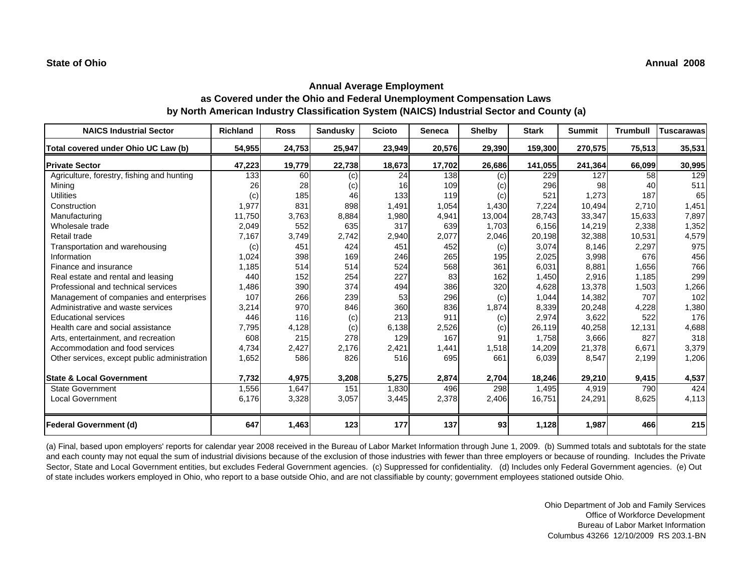| <b>NAICS Industrial Sector</b>               | <b>Richland</b> | <b>Ross</b> | Sandusky | <b>Scioto</b> | Seneca | <b>Shelby</b> | <b>Stark</b> | <b>Summit</b> | <b>Trumbull</b> | Tuscarawas |
|----------------------------------------------|-----------------|-------------|----------|---------------|--------|---------------|--------------|---------------|-----------------|------------|
| Total covered under Ohio UC Law (b)          | 54,955          | 24,753      | 25,947   | 23,949        | 20,576 | 29,390        | 159,300      | 270,575       | 75,513          | 35,531     |
| <b>Private Sector</b>                        | 47,223          | 19,779      | 22,738   | 18,673        | 17,702 | 26,686        | 141,055      | 241,364       | 66,099          | 30,995     |
| Agriculture, forestry, fishing and hunting   | 133             | 60          | (c)      | 24            | 138    | (c)           | 229          | 127           | 58              | 129        |
| Mining                                       | 26              | 28          | (c)      | 16            | 109    | (c)           | 296          | 98            | 40              | 511        |
| <b>Utilities</b>                             | (c)             | 185         | 46       | 133           | 119    | (c)           | 521          | 1,273         | 187             | 65         |
| Construction                                 | 1,977           | 831         | 898      | 1,491         | 1,054  | 1,430         | 7,224        | 10,494        | 2,710           | 1,451      |
| Manufacturing                                | 11,750          | 3,763       | 8,884    | 1,980         | 4,941  | 13,004        | 28,743       | 33,347        | 15,633          | 7,897      |
| Wholesale trade                              | 2,049           | 552         | 635      | 317           | 639    | 1,703         | 6,156        | 14,219        | 2,338           | 1,352      |
| Retail trade                                 | 7,167           | 3,749       | 2,742    | 2,940         | 2,077  | 2,046         | 20,198       | 32,388        | 10,531          | 4,579      |
| Transportation and warehousing               | (c)             | 451         | 424      | 451           | 452    | (c)           | 3,074        | 8,146         | 2,297           | 975        |
| Information                                  | 1,024           | 398         | 169      | 246           | 265    | 195           | 2,025        | 3,998         | 676             | 456        |
| Finance and insurance                        | 1,185           | 514         | 514      | 524           | 568    | 361           | 6.031        | 8.881         | 1.656           | 766        |
| Real estate and rental and leasing           | 440             | 152         | 254      | 227           | 83     | 162           | 1,450        | 2,916         | 1,185           | 299        |
| Professional and technical services          | 1,486           | 390         | 374      | 494           | 386    | 320           | 4,628        | 13,378        | 1,503           | 1,266      |
| Management of companies and enterprises      | 107             | 266         | 239      | 53            | 296    | (c)           | 1,044        | 14,382        | 707             | 102        |
| Administrative and waste services            | 3,214           | 970         | 846      | 360           | 836    | 1,874         | 8,339        | 20,248        | 4,228           | 1,380      |
| <b>Educational services</b>                  | 446             | 116         | (c)      | 213           | 911    | (c)           | 2,974        | 3,622         | 522             | 176        |
| Health care and social assistance            | 7,795           | 4,128       | (c)      | 6,138         | 2,526  | (c)           | 26,119       | 40,258        | 12,131          | 4,688      |
| Arts, entertainment, and recreation          | 608             | 215         | 278      | 129           | 167    | 91            | 1.758        | 3,666         | 827             | 318        |
| Accommodation and food services              | 4,734           | 2,427       | 2,176    | 2,421         | 1,441  | 1,518         | 14,209       | 21,378        | 6,671           | 3,379      |
| Other services, except public administration | 1,652           | 586         | 826      | 516           | 695    | 661           | 6,039        | 8,547         | 2,199           | 1,206      |
| <b>State &amp; Local Government</b>          | 7,732           | 4,975       | 3,208    | 5,275         | 2,874  | 2,704         | 18,246       | 29,210        | 9,415           | 4,537      |
| <b>State Government</b>                      | 1,556           | 1,647       | 151      | 1,830         | 496    | 298           | 1,495        | 4,919         | 790             | 424        |
| <b>Local Government</b>                      | 6,176           | 3,328       | 3,057    | 3,445         | 2,378  | 2,406         | 16,751       | 24,291        | 8,625           | 4,113      |
| <b>Federal Government (d)</b>                | 647             | 1,463       | 123      | 177           | 137    | 93            | 1,128        | 1,987         | 466             | 215        |

(a) Final, based upon employers' reports for calendar year 2008 received in the Bureau of Labor Market Information through June 1, 2009. (b) Summed totals and subtotals for the state and each county may not equal the sum of industrial divisions because of the exclusion of those industries with fewer than three employers or because of rounding. Includes the Private Sector, State and Local Government entities, but excludes Federal Government agencies. (c) Suppressed for confidentiality. (d) Includes only Federal Government agencies. (e) Out of state includes workers employed in Ohio, who report to a base outside Ohio, and are not classifiable by county; government employees stationed outside Ohio.